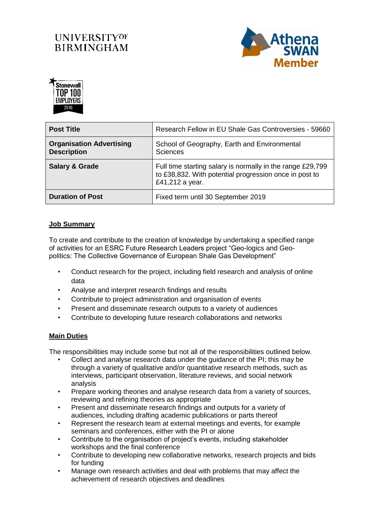## **UNIVERSITYOF BIRMINGHAM**





| <b>Post Title</b>                                     | Research Fellow in EU Shale Gas Controversies - 59660                                                                                   |
|-------------------------------------------------------|-----------------------------------------------------------------------------------------------------------------------------------------|
| <b>Organisation Advertising</b><br><b>Description</b> | School of Geography, Earth and Environmental<br><b>Sciences</b>                                                                         |
| <b>Salary &amp; Grade</b>                             | Full time starting salary is normally in the range £29,799<br>to £38,832. With potential progression once in post to<br>£41,212 a year. |
| <b>Duration of Post</b>                               | Fixed term until 30 September 2019                                                                                                      |

## **Job Summary**

To create and contribute to the creation of knowledge by undertaking a specified range of activities for an ESRC Future Research Leaders project "Geo-logics and Geopolitics: The Collective Governance of European Shale Gas Development"

- Conduct research for the project, including field research and analysis of online data
- Analyse and interpret research findings and results
- Contribute to project administration and organisation of events
- Present and disseminate research outputs to a variety of audiences
- Contribute to developing future research collaborations and networks

## **Main Duties**

The responsibilities may include some but not all of the responsibilities outlined below.

- Collect and analyse research data under the guidance of the PI; this may be through a variety of qualitative and/or quantitative research methods, such as interviews, participant observation, literature reviews, and social network analysis
- Prepare working theories and analyse research data from a variety of sources, reviewing and refining theories as appropriate
- Present and disseminate research findings and outputs for a variety of audiences, including drafting academic publications or parts thereof
- Represent the research team at external meetings and events, for example seminars and conferences, either with the PI or alone
- Contribute to the organisation of project's events, including stakeholder workshops and the final conference
- Contribute to developing new collaborative networks, research projects and bids for funding
- Manage own research activities and deal with problems that may affect the achievement of research objectives and deadlines